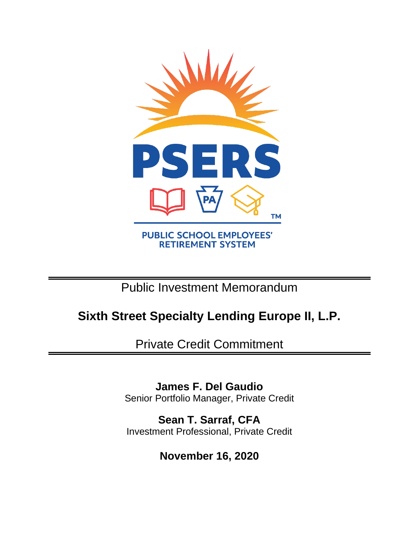

Public Investment Memorandum

# **Sixth Street Specialty Lending Europe II, L.P.**

Private Credit Commitment

**James F. Del Gaudio** Senior Portfolio Manager, Private Credit

**Sean T. Sarraf, CFA** Investment Professional, Private Credit

**November 16, 2020**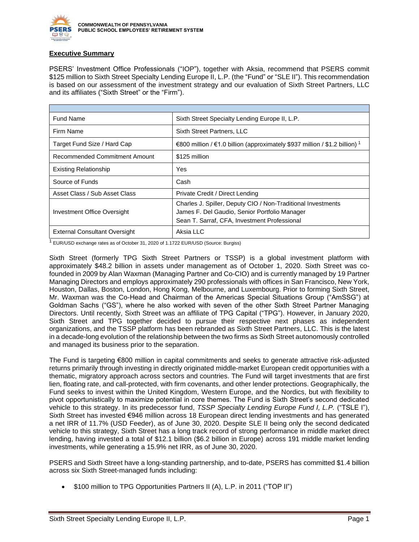

## **Executive Summary**

PSERS' Investment Office Professionals ("IOP"), together with Aksia, recommend that PSERS commit \$125 million to Sixth Street Specialty Lending Europe II, L.P. (the "Fund" or "SLE II"). This recommendation is based on our assessment of the investment strategy and our evaluation of Sixth Street Partners, LLC and its affiliates ("Sixth Street" or the "Firm").

| <b>Fund Name</b>                     | Sixth Street Specialty Lending Europe II, L.P.                                                                                                                |  |  |
|--------------------------------------|---------------------------------------------------------------------------------------------------------------------------------------------------------------|--|--|
| Firm Name                            | Sixth Street Partners, LLC                                                                                                                                    |  |  |
| Target Fund Size / Hard Cap          | €800 million / €1.0 billion (approximately \$937 million / \$1.2 billion) 1                                                                                   |  |  |
| Recommended Commitment Amount        | \$125 million                                                                                                                                                 |  |  |
| <b>Existing Relationship</b>         | Yes                                                                                                                                                           |  |  |
| Source of Funds                      | Cash                                                                                                                                                          |  |  |
| Asset Class / Sub Asset Class        | Private Credit / Direct Lending                                                                                                                               |  |  |
| Investment Office Oversight          | Charles J. Spiller, Deputy CIO / Non-Traditional Investments<br>James F. Del Gaudio, Senior Portfolio Manager<br>Sean T. Sarraf, CFA, Investment Professional |  |  |
| <b>External Consultant Oversight</b> | Aksia LLC                                                                                                                                                     |  |  |

<sup>1</sup> EUR/USD exchange rates as of October 31, 2020 of 1.1722 EUR/USD (Source: Burgiss)

Sixth Street (formerly TPG Sixth Street Partners or TSSP) is a global investment platform with approximately \$48.2 billion in assets under management as of October 1, 2020. Sixth Street was cofounded in 2009 by Alan Waxman (Managing Partner and Co-CIO) and is currently managed by 19 Partner Managing Directors and employs approximately 290 professionals with offices in San Francisco, New York, Houston, Dallas, Boston, London, Hong Kong, Melbourne, and Luxembourg. Prior to forming Sixth Street, Mr. Waxman was the Co-Head and Chairman of the Americas Special Situations Group ("AmSSG") at Goldman Sachs ("GS"), where he also worked with seven of the other Sixth Street Partner Managing Directors. Until recently, Sixth Street was an affiliate of TPG Capital ("TPG"). However, in January 2020, Sixth Street and TPG together decided to pursue their respective next phases as independent organizations, and the TSSP platform has been rebranded as Sixth Street Partners, LLC. This is the latest in a decade-long evolution of the relationship between the two firms as Sixth Street autonomously controlled and managed its business prior to the separation.

The Fund is targeting €800 million in capital commitments and seeks to generate attractive risk-adjusted returns primarily through investing in directly originated middle-market European credit opportunities with a thematic, migratory approach across sectors and countries. The Fund will target investments that are first lien, floating rate, and call-protected, with firm covenants, and other lender protections. Geographically, the Fund seeks to invest within the United Kingdom, Western Europe, and the Nordics, but with flexibility to pivot opportunistically to maximize potential in core themes. The Fund is Sixth Street's second dedicated vehicle to this strategy. In its predecessor fund, *TSSP Specialty Lending Europe Fund I, L.P.* ("TSLE I"), Sixth Street has invested €946 million across 18 European direct lending investments and has generated a net IRR of 11.7% (USD Feeder), as of June 30, 2020. Despite SLE II being only the second dedicated vehicle to this strategy, Sixth Street has a long track record of strong performance in middle market direct lending, having invested a total of \$12.1 billion (\$6.2 billion in Europe) across 191 middle market lending investments, while generating a 15.9% net IRR, as of June 30, 2020.

PSERS and Sixth Street have a long-standing partnership, and to-date, PSERS has committed \$1.4 billion across six Sixth Street-managed funds including:

• \$100 million to TPG Opportunities Partners II (A), L.P. in 2011 ("TOP II")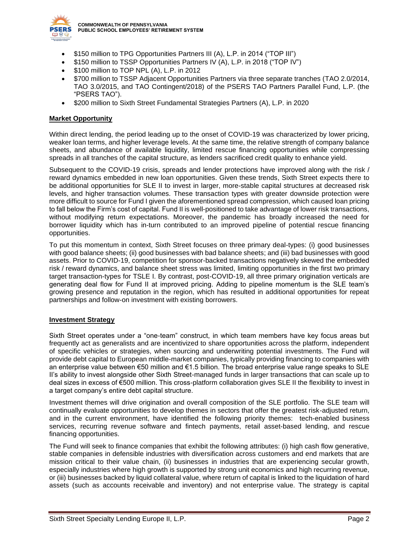

**COMMONWEALTH OF PENNSYLVANIA PUBLIC SCHOOL EMPLOYEES' RETIREMENT SYSTEM**

- \$150 million to TPG Opportunities Partners III (A), L.P. in 2014 ("TOP III")
- \$150 million to TSSP Opportunities Partners IV (A), L.P. in 2018 ("TOP IV")
- \$100 million to TOP NPL (A), L.P. in 2012
- \$700 million to TSSP Adjacent Opportunities Partners via three separate tranches (TAO 2.0/2014, TAO 3.0/2015, and TAO Contingent/2018) of the PSERS TAO Partners Parallel Fund, L.P. (the "PSERS TAO").
- \$200 million to Sixth Street Fundamental Strategies Partners (A), L.P. in 2020

## **Market Opportunity**

Within direct lending, the period leading up to the onset of COVID-19 was characterized by lower pricing, weaker loan terms, and higher leverage levels. At the same time, the relative strength of company balance sheets, and abundance of available liquidity, limited rescue financing opportunities while compressing spreads in all tranches of the capital structure, as lenders sacrificed credit quality to enhance yield.

Subsequent to the COVID-19 crisis, spreads and lender protections have improved along with the risk / reward dynamics embedded in new loan opportunities. Given these trends, Sixth Street expects there to be additional opportunities for SLE II to invest in larger, more-stable capital structures at decreased risk levels, and higher transaction volumes. These transaction types with greater downside protection were more difficult to source for Fund I given the aforementioned spread compression, which caused loan pricing to fall below the Firm's cost of capital. Fund II is well-positioned to take advantage of lower risk transactions, without modifying return expectations. Moreover, the pandemic has broadly increased the need for borrower liquidity which has in-turn contributed to an improved pipeline of potential rescue financing opportunities.

To put this momentum in context, Sixth Street focuses on three primary deal-types: (i) good businesses with good balance sheets; (ii) good businesses with bad balance sheets; and (iii) bad businesses with good assets. Prior to COVID-19, competition for sponsor-backed transactions negatively skewed the embedded risk / reward dynamics, and balance sheet stress was limited, limiting opportunities in the first two primary target transaction-types for TSLE I. By contrast, post-COVID-19, all three primary origination verticals are generating deal flow for Fund II at improved pricing. Adding to pipeline momentum is the SLE team's growing presence and reputation in the region, which has resulted in additional opportunities for repeat partnerships and follow-on investment with existing borrowers.

## **Investment Strategy**

Sixth Street operates under a "one-team" construct, in which team members have key focus areas but frequently act as generalists and are incentivized to share opportunities across the platform, independent of specific vehicles or strategies, when sourcing and underwriting potential investments. The Fund will provide debt capital to European middle-market companies, typically providing financing to companies with an enterprise value between €50 million and €1.5 billion. The broad enterprise value range speaks to SLE II's ability to invest alongside other Sixth Street-managed funds in larger transactions that can scale up to deal sizes in excess of €500 million. This cross-platform collaboration gives SLE II the flexibility to invest in a target company's entire debt capital structure.

Investment themes will drive origination and overall composition of the SLE portfolio. The SLE team will continually evaluate opportunities to develop themes in sectors that offer the greatest risk-adjusted return, and in the current environment, have identified the following priority themes: tech-enabled business services, recurring revenue software and fintech payments, retail asset-based lending, and rescue financing opportunities.

The Fund will seek to finance companies that exhibit the following attributes: (i) high cash flow generative, stable companies in defensible industries with diversification across customers and end markets that are mission critical to their value chain, (ii) businesses in industries that are experiencing secular growth, especially industries where high growth is supported by strong unit economics and high recurring revenue, or (iii) businesses backed by liquid collateral value, where return of capital is linked to the liquidation of hard assets (such as accounts receivable and inventory) and not enterprise value. The strategy is capital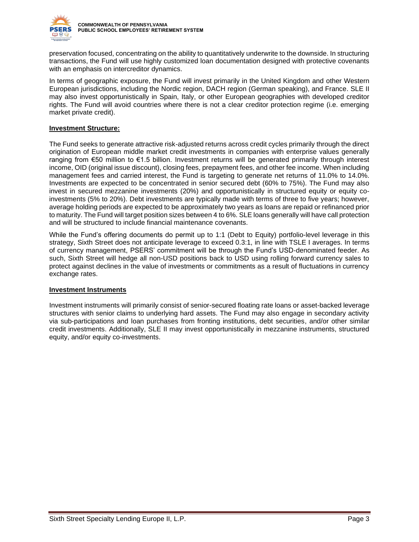

preservation focused, concentrating on the ability to quantitatively underwrite to the downside. In structuring transactions, the Fund will use highly customized loan documentation designed with protective covenants with an emphasis on intercreditor dynamics.

In terms of geographic exposure, the Fund will invest primarily in the United Kingdom and other Western European jurisdictions, including the Nordic region, DACH region (German speaking), and France. SLE II may also invest opportunistically in Spain, Italy, or other European geographies with developed creditor rights. The Fund will avoid countries where there is not a clear creditor protection regime (i.e. emerging market private credit).

## **Investment Structure:**

The Fund seeks to generate attractive risk-adjusted returns across credit cycles primarily through the direct origination of European middle market credit investments in companies with enterprise values generally ranging from €50 million to €1.5 billion. Investment returns will be generated primarily through interest income, OID (original issue discount), closing fees, prepayment fees, and other fee income. When including management fees and carried interest, the Fund is targeting to generate net returns of 11.0% to 14.0%. Investments are expected to be concentrated in senior secured debt (60% to 75%). The Fund may also invest in secured mezzanine investments (20%) and opportunistically in structured equity or equity coinvestments (5% to 20%). Debt investments are typically made with terms of three to five years; however, average holding periods are expected to be approximately two years as loans are repaid or refinanced prior to maturity. The Fund will target position sizes between 4 to 6%. SLE loans generally will have call protection and will be structured to include financial maintenance covenants.

While the Fund's offering documents do permit up to 1:1 (Debt to Equity) portfolio-level leverage in this strategy, Sixth Street does not anticipate leverage to exceed 0.3:1, in line with TSLE I averages. In terms of currency management, PSERS' commitment will be through the Fund's USD-denominated feeder. As such, Sixth Street will hedge all non-USD positions back to USD using rolling forward currency sales to protect against declines in the value of investments or commitments as a result of fluctuations in currency exchange rates.

## **Investment Instruments**

Investment instruments will primarily consist of senior-secured floating rate loans or asset-backed leverage structures with senior claims to underlying hard assets. The Fund may also engage in secondary activity via sub-participations and loan purchases from fronting institutions, debt securities, and/or other similar credit investments. Additionally, SLE II may invest opportunistically in mezzanine instruments, structured equity, and/or equity co-investments.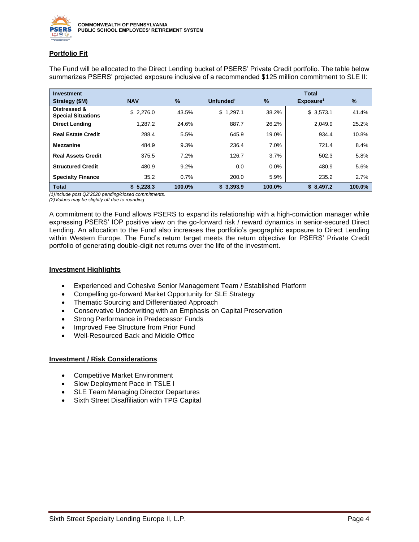

## **Portfolio Fit**

| <b>Investment</b>                         |            |        |                       |         | <b>Total</b>          |        |
|-------------------------------------------|------------|--------|-----------------------|---------|-----------------------|--------|
| Strategy (\$M)                            | <b>NAV</b> | %      | Unfunded <sup>1</sup> | $\%$    | Exposure <sup>1</sup> | %      |
| Distressed &<br><b>Special Situations</b> | \$2.276.0  | 43.5%  | \$1,297.1             | 38.2%   | \$3,573.1             | 41.4%  |
| <b>Direct Lending</b>                     | 1.287.2    | 24.6%  | 887.7                 | 26.2%   | 2.049.9               | 25.2%  |
| <b>Real Estate Credit</b>                 | 288.4      | 5.5%   | 645.9                 | 19.0%   | 934.4                 | 10.8%  |
| <b>Mezzanine</b>                          | 484.9      | 9.3%   | 236.4                 | 7.0%    | 721.4                 | 8.4%   |
| <b>Real Assets Credit</b>                 | 375.5      | 7.2%   | 126.7                 | 3.7%    | 502.3                 | 5.8%   |
| <b>Structured Credit</b>                  | 480.9      | 9.2%   | 0.0                   | $0.0\%$ | 480.9                 | 5.6%   |
| <b>Specialty Finance</b>                  | 35.2       | 0.7%   | 200.0                 | 5.9%    | 235.2                 | 2.7%   |
| <b>Total</b>                              | \$5,228.3  | 100.0% | \$3,393.9             | 100.0%  | \$8,497.2             | 100.0% |

The Fund will be allocated to the Direct Lending bucket of PSERS' Private Credit portfolio. The table below summarizes PSERS' projected exposure inclusive of a recommended \$125 million commitment to SLE II:

*(1)Include post Q2'2020 pending/closed commitments.*

A commitment to the Fund allows PSERS to expand its relationship with a high-conviction manager while expressing PSERS' IOP positive view on the go-forward risk / reward dynamics in senior-secured Direct Lending. An allocation to the Fund also increases the portfolio's geographic exposure to Direct Lending within Western Europe. The Fund's return target meets the return objective for PSERS' Private Credit portfolio of generating double-digit net returns over the life of the investment.

## **Investment Highlights**

- Experienced and Cohesive Senior Management Team / Established Platform
- Compelling go-forward Market Opportunity for SLE Strategy
- Thematic Sourcing and Differentiated Approach
- Conservative Underwriting with an Emphasis on Capital Preservation
- Strong Performance in Predecessor Funds
- Improved Fee Structure from Prior Fund
- Well-Resourced Back and Middle Office

## **Investment / Risk Considerations**

- Competitive Market Environment
- Slow Deployment Pace in TSLE I
- SLE Team Managing Director Departures
- Sixth Street Disaffiliation with TPG Capital

*<sup>(2)</sup>Values may be slightly off due to rounding*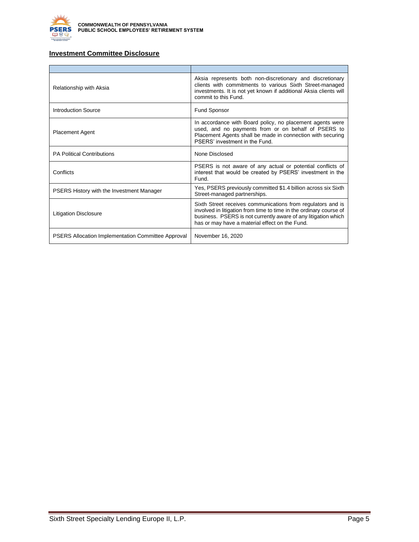

## **Investment Committee Disclosure**

| Relationship with Aksia                                   | Aksia represents both non-discretionary and discretionary<br>clients with commitments to various Sixth Street-managed<br>investments. It is not yet known if additional Aksia clients will<br>commit to this Fund.                                    |
|-----------------------------------------------------------|-------------------------------------------------------------------------------------------------------------------------------------------------------------------------------------------------------------------------------------------------------|
| <b>Introduction Source</b>                                | Fund Sponsor                                                                                                                                                                                                                                          |
| <b>Placement Agent</b>                                    | In accordance with Board policy, no placement agents were<br>used, and no payments from or on behalf of PSERS to<br>Placement Agents shall be made in connection with securing<br>PSFRS' investment in the Fund                                       |
| <b>PA Political Contributions</b>                         | None Disclosed                                                                                                                                                                                                                                        |
| Conflicts                                                 | PSERS is not aware of any actual or potential conflicts of<br>interest that would be created by PSERS' investment in the<br>Fund.                                                                                                                     |
| <b>PSERS History with the Investment Manager</b>          | Yes, PSERS previously committed \$1.4 billion across six Sixth<br>Street-managed partnerships.                                                                                                                                                        |
| <b>Litigation Disclosure</b>                              | Sixth Street receives communications from regulators and is<br>involved in litigation from time to time in the ordinary course of<br>business. PSERS is not currently aware of any litigation which<br>has or may have a material effect on the Fund. |
| <b>PSERS Allocation Implementation Committee Approval</b> | November 16, 2020                                                                                                                                                                                                                                     |